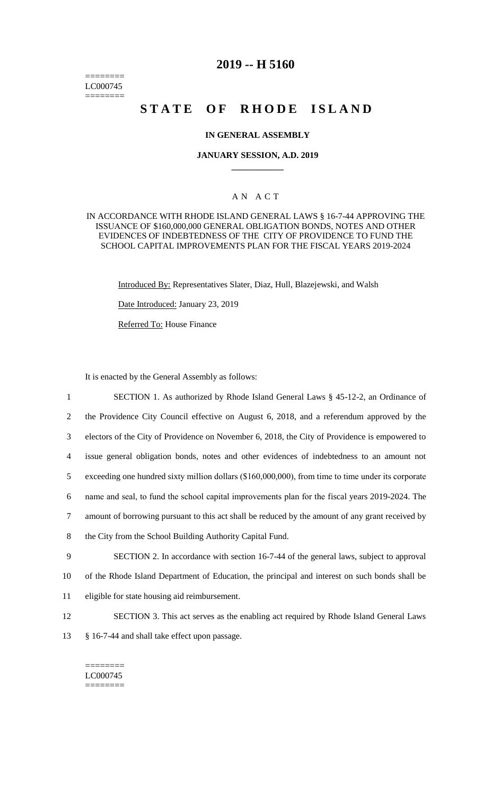======== LC000745 ========

# **2019 -- H 5160**

# STATE OF RHODE ISLAND

## **IN GENERAL ASSEMBLY**

### **JANUARY SESSION, A.D. 2019 \_\_\_\_\_\_\_\_\_\_\_\_**

## A N A C T

IN ACCORDANCE WITH RHODE ISLAND GENERAL LAWS § 16-7-44 APPROVING THE ISSUANCE OF \$160,000,000 GENERAL OBLIGATION BONDS, NOTES AND OTHER EVIDENCES OF INDEBTEDNESS OF THE CITY OF PROVIDENCE TO FUND THE SCHOOL CAPITAL IMPROVEMENTS PLAN FOR THE FISCAL YEARS 2019-2024

Introduced By: Representatives Slater, Diaz, Hull, Blazejewski, and Walsh

Date Introduced: January 23, 2019

Referred To: House Finance

It is enacted by the General Assembly as follows:

 SECTION 1. As authorized by Rhode Island General Laws § 45-12-2, an Ordinance of the Providence City Council effective on August 6, 2018, and a referendum approved by the electors of the City of Providence on November 6, 2018, the City of Providence is empowered to issue general obligation bonds, notes and other evidences of indebtedness to an amount not exceeding one hundred sixty million dollars (\$160,000,000), from time to time under its corporate name and seal, to fund the school capital improvements plan for the fiscal years 2019-2024. The amount of borrowing pursuant to this act shall be reduced by the amount of any grant received by the City from the School Building Authority Capital Fund. SECTION 2. In accordance with section 16-7-44 of the general laws, subject to approval of the Rhode Island Department of Education, the principal and interest on such bonds shall be eligible for state housing aid reimbursement.

- 12 SECTION 3. This act serves as the enabling act required by Rhode Island General Laws
- 13 § 16-7-44 and shall take effect upon passage.

#### ======== LC000745 ========